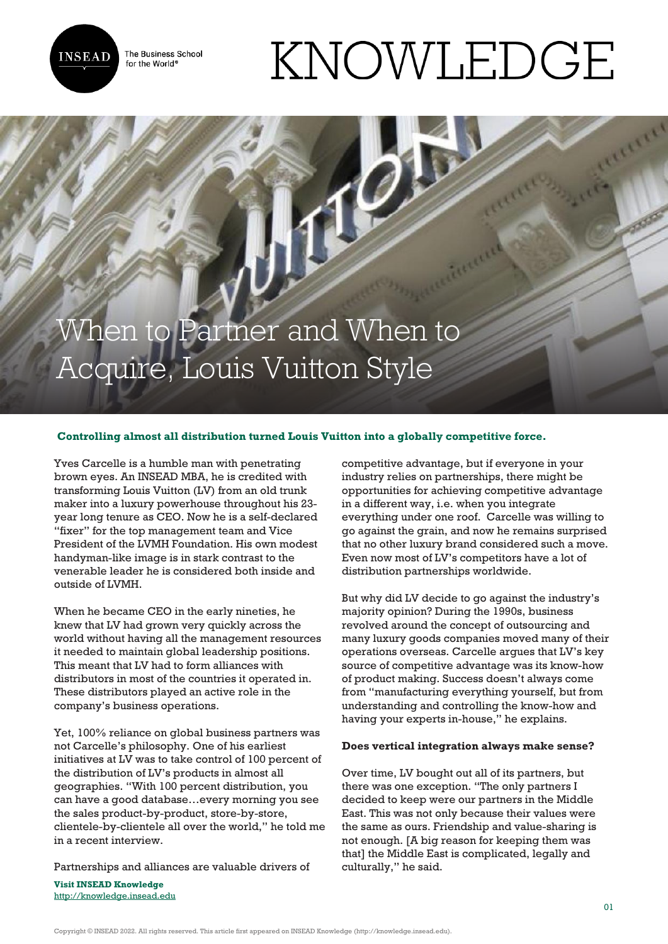**INSEAD** 

The Business School for the World<sup>®</sup>

## KNOWLEDGE

When to Partner and When to Acquire, Louis Vuitton Style

## **Controlling almost all distribution turned Louis Vuitton into a globally competitive force.**

Yves Carcelle is a humble man with penetrating brown eyes. An INSEAD MBA, he is credited with transforming Louis Vuitton (LV) from an old trunk maker into a luxury powerhouse throughout his 23 year long tenure as CEO. Now he is a self-declared "fixer" for the top management team and Vice President of the LVMH Foundation. His own modest handyman-like image is in stark contrast to the venerable leader he is considered both inside and outside of LVMH.

When he became CEO in the early nineties, he knew that LV had grown very quickly across the world without having all the management resources it needed to maintain global leadership positions. This meant that LV had to form alliances with distributors in most of the countries it operated in. These distributors played an active role in the company's business operations.

Yet, 100% reliance on global business partners was not Carcelle's philosophy. One of his earliest initiatives at LV was to take control of 100 percent of the distribution of LV's products in almost all geographies. "With 100 percent distribution, you can have a good database…every morning you see the sales product-by-product, store-by-store, clientele-by-clientele all over the world," he told me in a recent interview.

Partnerships and alliances are valuable drivers of

**Visit INSEAD Knowledge** <http://knowledge.insead.edu>

competitive advantage, but if everyone in your industry relies on partnerships, there might be opportunities for achieving competitive advantage in a different way, i.e. when you integrate everything under one roof. Carcelle was willing to go against the grain, and now he remains surprised that no other luxury brand considered such a move. Even now most of LV's competitors have a lot of distribution partnerships worldwide.

But why did LV decide to go against the industry's majority opinion? During the 1990s, business revolved around the concept of outsourcing and many luxury goods companies moved many of their operations overseas. Carcelle argues that LV's key source of competitive advantage was its know-how of product making. Success doesn't always come from "manufacturing everything yourself, but from understanding and controlling the know-how and having your experts in-house," he explains.

## **Does vertical integration always make sense?**

Over time, LV bought out all of its partners, but there was one exception. "The only partners I decided to keep were our partners in the Middle East. This was not only because their values were the same as ours. Friendship and value-sharing is not enough. [A big reason for keeping them was that] the Middle East is complicated, legally and culturally," he said.

Copyright © INSEAD 2022. All rights reserved. This article first appeared on INSEAD Knowledge (http://knowledge.insead.edu).